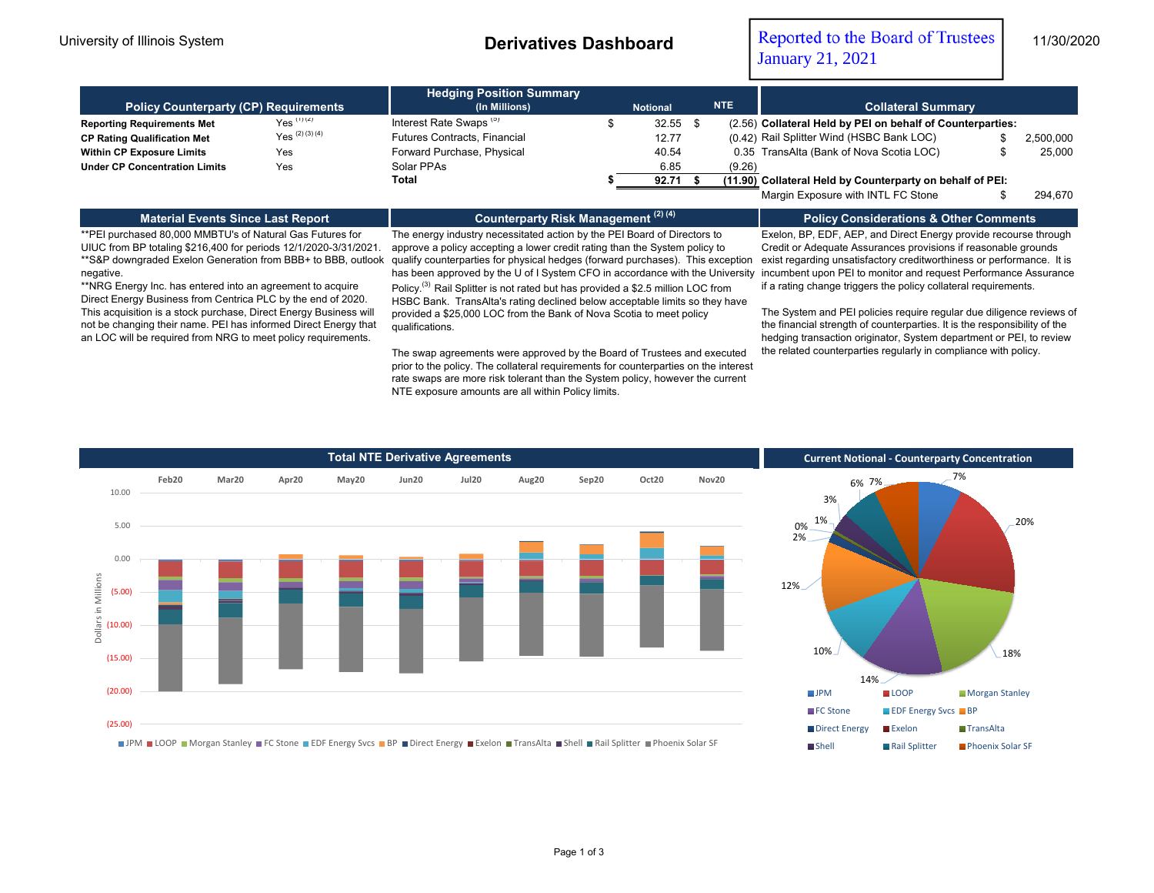University of Illinois System **Derivatives Dashboard** Reported to the Board of Trustees 11/30/2020 January 21, 2021

| <b>Policy Counterparty (CP) Requirements</b> | <b>Hedging Position Summary</b><br>(In Millions) | <b>NTE</b><br><b>Notional</b>      |  |       | <b>Collateral Summary</b> |        |                                                            |           |  |  |
|----------------------------------------------|--------------------------------------------------|------------------------------------|--|-------|---------------------------|--------|------------------------------------------------------------|-----------|--|--|
| <b>Reporting Requirements Met</b>            | $Yes$ (1) (2)                                    | Interest Rate Swaps <sup>(3)</sup> |  | 32.55 |                           |        | (2.56) Collateral Held by PEI on behalf of Counterparties: |           |  |  |
| <b>CP Rating Qualification Met</b>           | $Yes^{(2)(3)(4)}$                                | Futures Contracts, Financial       |  | 12.77 |                           |        | (0.42) Rail Splitter Wind (HSBC Bank LOC)                  | 2,500,000 |  |  |
| <b>Within CP Exposure Limits</b>             | Yes                                              | Forward Purchase, Physical         |  | 40.54 |                           |        | 0.35 TransAlta (Bank of Nova Scotia LOC)                   | 25,000    |  |  |
| <b>Under CP Concentration Limits</b>         | Yes                                              | Solar PPAs                         |  | 6.85  |                           | (9.26) |                                                            |           |  |  |
|                                              |                                                  | Total                              |  | 92.71 |                           |        | (11.90) Collateral Held by Counterparty on behalf of PEI:  |           |  |  |
|                                              |                                                  |                                    |  |       |                           |        | Margin Exposure with INTL FC Stone                         | 294.670   |  |  |

## **Material Events Since Last Report**

**Counterparty Risk Management (2) (4)**

\*\*PEI purchased 80,000 MMBTU's of Natural Gas Futures for UIUC from BP totaling \$216,400 for periods 12/1/2020-3/31/2021. \*\*S&P downgraded Exelon Generation from BBB+ to BBB, outlook negative.

\*\*NRG Energy Inc. has entered into an agreement to acquire Direct Energy Business from Centrica PLC by the end of 2020. This acquisition is a stock purchase, Direct Energy Business will not be changing their name. PEI has informed Direct Energy that an LOC will be required from NRG to meet policy requirements.

has been approved by the U of I System CFO in accordance with the University  $\,$  incumbent upon PEI to monitor and request Performance Assurance The energy industry necessitated action by the PEI Board of Directors to approve a policy accepting a lower credit rating than the System policy to qualify counterparties for physical hedges (forward purchases). This exception

Policy.(3) Rail Splitter is not rated but has provided a \$2.5 million LOC from HSBC Bank. TransAlta's rating declined below acceptable limits so they have provided a \$25,000 LOC from the Bank of Nova Scotia to meet policy qualifications.

The swap agreements were approved by the Board of Trustees and executed prior to the policy. The collateral requirements for counterparties on the interest rate swaps are more risk tolerant than the System policy, however the current NTE exposure amounts are all within Policy limits.

Exelon, BP, EDF, AEP, and Direct Energy provide recourse through Credit or Adequate Assurances provisions if reasonable grounds exist regarding unsatisfactory creditworthiness or performance. It is if a rating change triggers the policy collateral requirements.

**Policy Considerations & Other Comments**

The System and PEI policies require regular due diligence reviews of the financial strength of counterparties. It is the responsibility of the hedging transaction originator, System department or PEI, to review the related counterparties regularly in compliance with policy.







JPM LOOP Morgan Stanley FC Stone EDF Energy Svcs BP Direct Energy Exelon TransAlta Shell Rail Splitter Phoenix Solar SF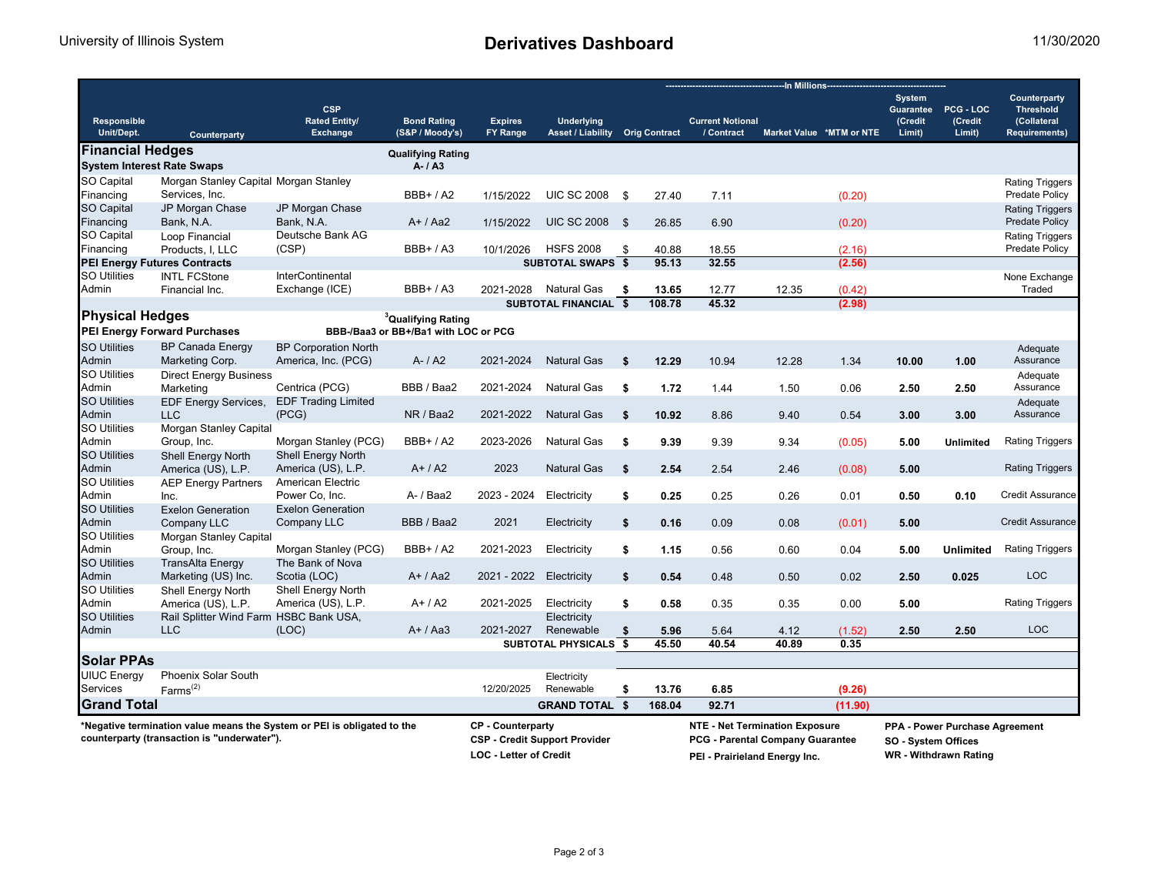|                                                                                                                        |                                           |                                                       |                                                                                                   |                                   |                                                                                                                   |                | -In Millions-        |                                       |                                                                                |                          |                                                 |                                |                                                                         |
|------------------------------------------------------------------------------------------------------------------------|-------------------------------------------|-------------------------------------------------------|---------------------------------------------------------------------------------------------------|-----------------------------------|-------------------------------------------------------------------------------------------------------------------|----------------|----------------------|---------------------------------------|--------------------------------------------------------------------------------|--------------------------|-------------------------------------------------|--------------------------------|-------------------------------------------------------------------------|
| <b>Responsible</b><br>Unit/Dept.                                                                                       | Counterparty                              | <b>CSP</b><br><b>Rated Entity/</b><br><b>Exchange</b> | <b>Bond Rating</b><br>(S&P / Moody's)                                                             | <b>Expires</b><br><b>FY Range</b> | <b>Underlying</b><br><b>Asset / Liability</b>                                                                     |                | <b>Orig Contract</b> | <b>Current Notional</b><br>/ Contract |                                                                                | Market Value *MTM or NTE | <b>System</b><br>Guarantee<br>(Credit<br>Limit) | PCG - LOC<br>(Credit<br>Limit) | Counterparty<br><b>Threshold</b><br>(Collateral<br><b>Requirements)</b> |
| <b>Financial Hedges</b>                                                                                                |                                           |                                                       | <b>Qualifying Rating</b>                                                                          |                                   |                                                                                                                   |                |                      |                                       |                                                                                |                          |                                                 |                                |                                                                         |
| <b>System Interest Rate Swaps</b>                                                                                      |                                           |                                                       | $A - I A3$                                                                                        |                                   |                                                                                                                   |                |                      |                                       |                                                                                |                          |                                                 |                                |                                                                         |
| SO Capital                                                                                                             | Morgan Stanley Capital Morgan Stanley     |                                                       |                                                                                                   |                                   |                                                                                                                   |                |                      |                                       |                                                                                |                          |                                                 |                                | <b>Rating Triggers</b>                                                  |
| Financing                                                                                                              | Services, Inc.                            |                                                       | $BBB+ / A2$                                                                                       | 1/15/2022                         | <b>UIC SC 2008</b>                                                                                                | <b>\$</b>      | 27.40                | 7.11                                  |                                                                                | (0.20)                   |                                                 |                                | Predate Policy                                                          |
| <b>SO Capital</b>                                                                                                      | JP Morgan Chase                           | JP Morgan Chase                                       |                                                                                                   |                                   |                                                                                                                   |                |                      |                                       |                                                                                |                          |                                                 |                                | <b>Rating Triggers</b>                                                  |
| Financing                                                                                                              | Bank, N.A.                                | Bank, N.A.                                            | $A+ / Aa2$                                                                                        | 1/15/2022                         | <b>UIC SC 2008</b>                                                                                                | $\mathfrak{s}$ | 26.85                | 6.90                                  |                                                                                | (0.20)                   |                                                 |                                | <b>Predate Policy</b>                                                   |
| <b>SO Capital</b>                                                                                                      | Loop Financial                            | Deutsche Bank AG                                      |                                                                                                   |                                   |                                                                                                                   |                |                      |                                       |                                                                                |                          |                                                 |                                | <b>Rating Triggers</b>                                                  |
| Financing                                                                                                              | Products, I, LLC                          | (CSP)                                                 | <b>BBB+/A3</b>                                                                                    | 10/1/2026                         | <b>HSFS 2008</b>                                                                                                  | \$             | 40.88                | 18.55                                 |                                                                                | (2.16)                   |                                                 |                                | Predate Policy                                                          |
|                                                                                                                        | <b>PEI Energy Futures Contracts</b>       |                                                       |                                                                                                   |                                   | <b>SUBTOTAL SWAPS \$</b>                                                                                          |                | 95.13                | 32.55                                 |                                                                                | (2.56)                   |                                                 |                                |                                                                         |
| <b>SO Utilities</b>                                                                                                    | <b>INTL FCStone</b>                       | InterContinental                                      |                                                                                                   |                                   |                                                                                                                   |                |                      |                                       |                                                                                |                          |                                                 |                                | None Exchange                                                           |
| Admin                                                                                                                  | Financial Inc.                            | Exchange (ICE)                                        | $BBB+ / A3$                                                                                       | 2021-2028                         | <b>Natural Gas</b>                                                                                                | \$             | 13.65                | 12.77                                 | 12.35                                                                          | (0.42)                   |                                                 |                                | Traded                                                                  |
| <b>Physical Hedges</b>                                                                                                 |                                           |                                                       |                                                                                                   |                                   | <b>SUBTOTAL FINANCIAL</b>                                                                                         | $\mathbf{s}$   | 108.78               | 45.32                                 |                                                                                | (2.98)                   |                                                 |                                |                                                                         |
|                                                                                                                        | <b>PEI Energy Forward Purchases</b>       |                                                       | <sup>3</sup> Qualifying Rating<br>BBB-/Baa3 or BB+/Ba1 with LOC or PCG                            |                                   |                                                                                                                   |                |                      |                                       |                                                                                |                          |                                                 |                                |                                                                         |
| <b>SO Utilities</b>                                                                                                    | <b>BP Canada Energy</b>                   | <b>BP Corporation North</b>                           |                                                                                                   |                                   |                                                                                                                   |                |                      |                                       |                                                                                |                          |                                                 |                                | Adequate                                                                |
| Admin                                                                                                                  | Marketing Corp.                           | America, Inc. (PCG)                                   | $A - / A2$                                                                                        | 2021-2024                         | <b>Natural Gas</b>                                                                                                | S.             | 12.29                | 10.94                                 | 12.28                                                                          | 1.34                     | 10.00                                           | 1.00                           | Assurance                                                               |
| <b>SO Utilities</b>                                                                                                    | <b>Direct Energy Business</b>             |                                                       |                                                                                                   |                                   |                                                                                                                   |                |                      |                                       |                                                                                |                          |                                                 |                                | Adequate                                                                |
| Admin                                                                                                                  | Marketing                                 | Centrica (PCG)                                        | BBB / Baa2                                                                                        | 2021-2024                         | <b>Natural Gas</b>                                                                                                | \$             | 1.72                 | 1.44                                  | 1.50                                                                           | 0.06                     | 2.50                                            | 2.50                           | Assurance                                                               |
| <b>SO Utilities</b><br>Admin                                                                                           | <b>EDF Energy Services,</b><br><b>LLC</b> | <b>EDF Trading Limited</b><br>(PCG)                   | NR / Baa2                                                                                         | 2021-2022                         | <b>Natural Gas</b>                                                                                                | \$             | 10.92                | 8.86                                  | 9.40                                                                           | 0.54                     | 3.00                                            | 3.00                           | Adequate<br>Assurance                                                   |
| <b>SO Utilities</b>                                                                                                    | Morgan Stanley Capital                    |                                                       |                                                                                                   |                                   |                                                                                                                   |                |                      |                                       |                                                                                |                          |                                                 |                                |                                                                         |
| Admin                                                                                                                  | Group, Inc.                               | Morgan Stanley (PCG)                                  | $BB + / A2$                                                                                       | 2023-2026                         | <b>Natural Gas</b>                                                                                                | s.             | 9.39                 | 9.39                                  | 9.34                                                                           | (0.05)                   | 5.00                                            | <b>Unlimited</b>               | <b>Rating Triggers</b>                                                  |
| <b>SO Utilities</b>                                                                                                    | <b>Shell Energy North</b>                 | <b>Shell Energy North</b>                             |                                                                                                   |                                   |                                                                                                                   |                |                      |                                       |                                                                                |                          |                                                 |                                |                                                                         |
| Admin                                                                                                                  | America (US), L.P.                        | America (US), L.P.                                    | $A+/A2$                                                                                           | 2023                              | <b>Natural Gas</b>                                                                                                | S.             | 2.54                 | 2.54                                  | 2.46                                                                           | (0.08)                   | 5.00                                            |                                | <b>Rating Triggers</b>                                                  |
| <b>SO Utilities</b><br>Admin                                                                                           | <b>AEP Energy Partners</b>                | American Electric<br>Power Co. Inc.                   | A- / Baa2                                                                                         | 2023 - 2024                       | Electricity                                                                                                       | \$             | 0.25                 | 0.25                                  | 0.26                                                                           | 0.01                     | 0.50                                            | 0.10                           | Credit Assurance                                                        |
| <b>SO Utilities</b>                                                                                                    | Inc.<br><b>Exelon Generation</b>          | <b>Exelon Generation</b>                              |                                                                                                   |                                   |                                                                                                                   |                |                      |                                       |                                                                                |                          |                                                 |                                |                                                                         |
| Admin                                                                                                                  | Company LLC                               | Company LLC                                           | BBB / Baa2                                                                                        | 2021                              | Electricity                                                                                                       | \$             | 0.16                 | 0.09                                  | 0.08                                                                           | (0.01)                   | 5.00                                            |                                | <b>Credit Assurance</b>                                                 |
| <b>SO Utilities</b>                                                                                                    | Morgan Stanley Capital                    |                                                       |                                                                                                   |                                   |                                                                                                                   |                |                      |                                       |                                                                                |                          |                                                 |                                |                                                                         |
| Admin                                                                                                                  | Group, Inc.                               | Morgan Stanley (PCG)                                  | <b>BBB+/A2</b>                                                                                    | 2021-2023                         | Electricity                                                                                                       | \$             | 1.15                 | 0.56                                  | 0.60                                                                           | 0.04                     | 5.00                                            | <b>Unlimited</b>               | <b>Rating Triggers</b>                                                  |
| <b>SO Utilities</b>                                                                                                    | <b>TransAlta Energy</b>                   | The Bank of Nova                                      |                                                                                                   |                                   |                                                                                                                   |                |                      |                                       |                                                                                |                          |                                                 |                                |                                                                         |
| Admin                                                                                                                  | Marketing (US) Inc.                       | Scotia (LOC)                                          | $A+ / Aa2$                                                                                        | 2021 - 2022                       | Electricity                                                                                                       | \$             | 0.54                 | 0.48                                  | 0.50                                                                           | 0.02                     | 2.50                                            | 0.025                          | <b>LOC</b>                                                              |
| <b>SO Utilities</b>                                                                                                    | <b>Shell Energy North</b>                 | Shell Energy North                                    |                                                                                                   |                                   |                                                                                                                   |                |                      |                                       |                                                                                |                          |                                                 |                                |                                                                         |
| Admin                                                                                                                  | America (US), L.P.                        | America (US), L.P.                                    | $A+/A2$                                                                                           | 2021-2025                         | Electricity                                                                                                       | \$             | 0.58                 | 0.35                                  | 0.35                                                                           | 0.00                     | 5.00                                            |                                | <b>Rating Triggers</b>                                                  |
| <b>SO Utilities</b>                                                                                                    | Rail Splitter Wind Farm HSBC Bank USA,    |                                                       |                                                                                                   |                                   | Electricity                                                                                                       |                |                      |                                       |                                                                                |                          |                                                 |                                |                                                                         |
| Admin                                                                                                                  | <b>LLC</b>                                | (LOC)                                                 | $A+ / Aa3$                                                                                        | 2021-2027                         | Renewable                                                                                                         | \$             | 5.96                 | 5.64                                  | 4.12                                                                           | (1.52)                   | 2.50                                            | 2.50                           | <b>LOC</b>                                                              |
|                                                                                                                        |                                           |                                                       |                                                                                                   |                                   | SUBTOTAL PHYSICALS \$                                                                                             |                | 45.50                | 40.54                                 | 40.89                                                                          | 0.35                     |                                                 |                                |                                                                         |
| <b>Solar PPAs</b>                                                                                                      |                                           |                                                       |                                                                                                   |                                   |                                                                                                                   |                |                      |                                       |                                                                                |                          |                                                 |                                |                                                                         |
| <b>UIUC Energy</b>                                                                                                     | Phoenix Solar South                       |                                                       |                                                                                                   |                                   | Electricity                                                                                                       |                |                      |                                       |                                                                                |                          |                                                 |                                |                                                                         |
| Services                                                                                                               | Farms <sup>(2)</sup>                      |                                                       |                                                                                                   | 12/20/2025                        | Renewable                                                                                                         | \$             | 13.76                | 6.85                                  |                                                                                | (9.26)                   |                                                 |                                |                                                                         |
| <b>Grand Total</b>                                                                                                     |                                           |                                                       |                                                                                                   |                                   | <b>GRAND TOTAL \$</b>                                                                                             |                | 168.04               | 92.71                                 |                                                                                | (11.90)                  |                                                 |                                |                                                                         |
| *Negative termination value means the System or PEI is obligated to the<br>counterparty (transaction is "underwater"). |                                           |                                                       | <b>CP</b> - Counterparty<br><b>CSP - Credit Support Provider</b><br><b>LOC - Letter of Credit</b> |                                   | <b>NTE - Net Termination Exposure</b><br><b>PCG - Parental Company Guarantee</b><br>PEI - Prairieland Energy Inc. |                |                      |                                       | PPA - Power Purchase Agreement<br>SO - System Offices<br>WR - Withdrawn Rating |                          |                                                 |                                |                                                                         |